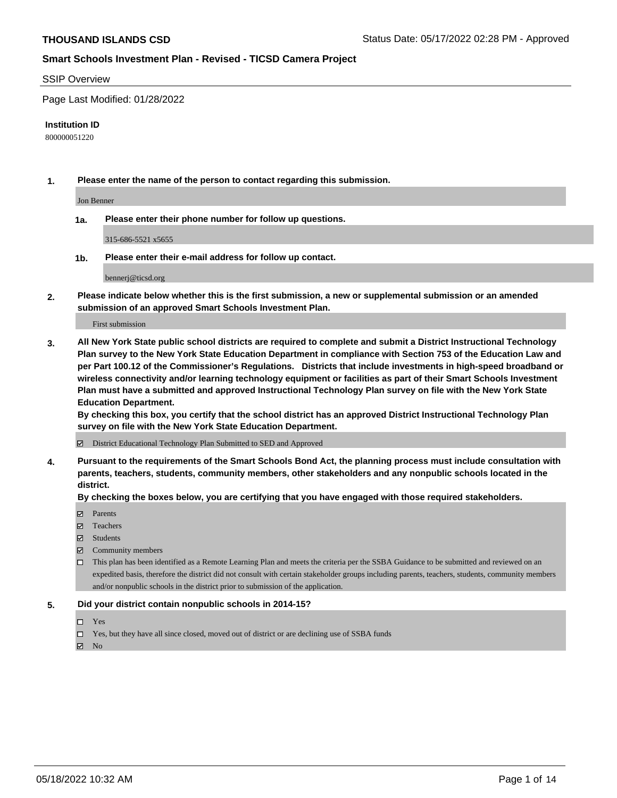#### SSIP Overview

Page Last Modified: 01/28/2022

#### **Institution ID**

800000051220

**1. Please enter the name of the person to contact regarding this submission.**

Jon Benner

**1a. Please enter their phone number for follow up questions.**

315-686-5521 x5655

**1b. Please enter their e-mail address for follow up contact.**

bennerj@ticsd.org

**2. Please indicate below whether this is the first submission, a new or supplemental submission or an amended submission of an approved Smart Schools Investment Plan.**

First submission

**3. All New York State public school districts are required to complete and submit a District Instructional Technology Plan survey to the New York State Education Department in compliance with Section 753 of the Education Law and per Part 100.12 of the Commissioner's Regulations. Districts that include investments in high-speed broadband or wireless connectivity and/or learning technology equipment or facilities as part of their Smart Schools Investment Plan must have a submitted and approved Instructional Technology Plan survey on file with the New York State Education Department.** 

**By checking this box, you certify that the school district has an approved District Instructional Technology Plan survey on file with the New York State Education Department.**

District Educational Technology Plan Submitted to SED and Approved

**4. Pursuant to the requirements of the Smart Schools Bond Act, the planning process must include consultation with parents, teachers, students, community members, other stakeholders and any nonpublic schools located in the district.** 

**By checking the boxes below, you are certifying that you have engaged with those required stakeholders.**

- $\blacksquare$  Parents
- Teachers
- Students
- $\Xi$  Community members
- This plan has been identified as a Remote Learning Plan and meets the criteria per the SSBA Guidance to be submitted and reviewed on an expedited basis, therefore the district did not consult with certain stakeholder groups including parents, teachers, students, community members and/or nonpublic schools in the district prior to submission of the application.

#### **5. Did your district contain nonpublic schools in 2014-15?**

- Yes
- $\Box$  Yes, but they have all since closed, moved out of district or are declining use of SSBA funds

 $\boxtimes$  No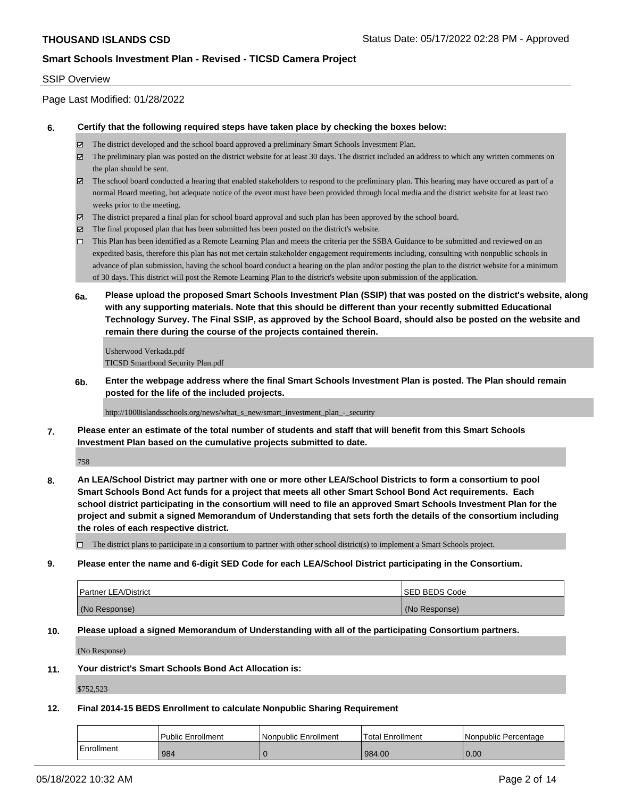#### SSIP Overview

Page Last Modified: 01/28/2022

#### **6. Certify that the following required steps have taken place by checking the boxes below:**

- The district developed and the school board approved a preliminary Smart Schools Investment Plan.
- $\boxtimes$  The preliminary plan was posted on the district website for at least 30 days. The district included an address to which any written comments on the plan should be sent.
- $\boxtimes$  The school board conducted a hearing that enabled stakeholders to respond to the preliminary plan. This hearing may have occured as part of a normal Board meeting, but adequate notice of the event must have been provided through local media and the district website for at least two weeks prior to the meeting.
- The district prepared a final plan for school board approval and such plan has been approved by the school board.
- $\boxtimes$  The final proposed plan that has been submitted has been posted on the district's website.
- This Plan has been identified as a Remote Learning Plan and meets the criteria per the SSBA Guidance to be submitted and reviewed on an expedited basis, therefore this plan has not met certain stakeholder engagement requirements including, consulting with nonpublic schools in advance of plan submission, having the school board conduct a hearing on the plan and/or posting the plan to the district website for a minimum of 30 days. This district will post the Remote Learning Plan to the district's website upon submission of the application.
- **6a. Please upload the proposed Smart Schools Investment Plan (SSIP) that was posted on the district's website, along with any supporting materials. Note that this should be different than your recently submitted Educational Technology Survey. The Final SSIP, as approved by the School Board, should also be posted on the website and remain there during the course of the projects contained therein.**

Usherwood Verkada.pdf TICSD Smartbond Security Plan.pdf

**6b. Enter the webpage address where the final Smart Schools Investment Plan is posted. The Plan should remain posted for the life of the included projects.**

http://1000islandsschools.org/news/what\_s\_new/smart\_investment\_plan\_-\_security

**7. Please enter an estimate of the total number of students and staff that will benefit from this Smart Schools Investment Plan based on the cumulative projects submitted to date.**

758

**8. An LEA/School District may partner with one or more other LEA/School Districts to form a consortium to pool Smart Schools Bond Act funds for a project that meets all other Smart School Bond Act requirements. Each school district participating in the consortium will need to file an approved Smart Schools Investment Plan for the project and submit a signed Memorandum of Understanding that sets forth the details of the consortium including the roles of each respective district.**

 $\Box$  The district plans to participate in a consortium to partner with other school district(s) to implement a Smart Schools project.

#### **9. Please enter the name and 6-digit SED Code for each LEA/School District participating in the Consortium.**

| Partner LEA/District | <b>ISED BEDS Code</b> |
|----------------------|-----------------------|
| (No Response)        | (No Response)         |

#### **10. Please upload a signed Memorandum of Understanding with all of the participating Consortium partners.**

(No Response)

#### **11. Your district's Smart Schools Bond Act Allocation is:**

\$752,523

#### **12. Final 2014-15 BEDS Enrollment to calculate Nonpublic Sharing Requirement**

|            | l Public Enrollment | Nonpublic Enrollment | Total Enrollment | INonpublic Percentage |
|------------|---------------------|----------------------|------------------|-----------------------|
| Enrollment | 984                 |                      | 984.00           | 0.00                  |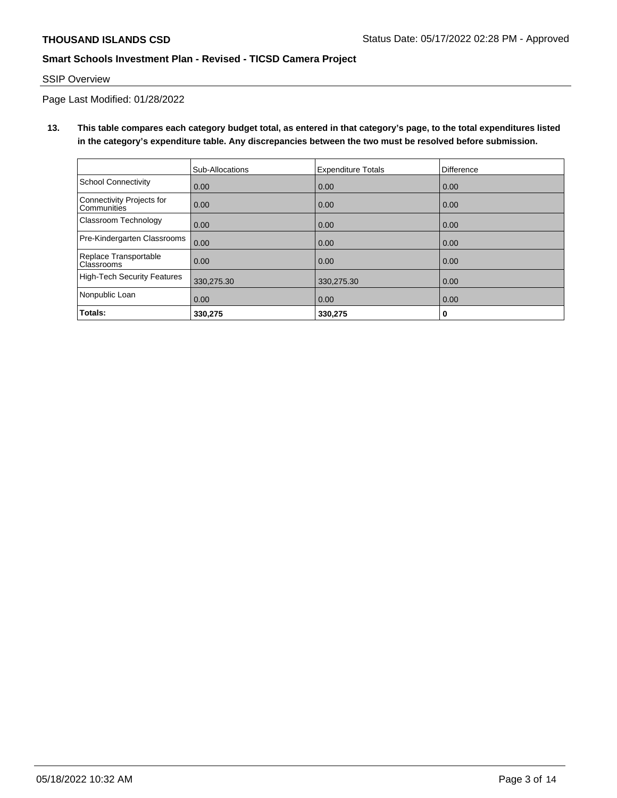## SSIP Overview

Page Last Modified: 01/28/2022

**13. This table compares each category budget total, as entered in that category's page, to the total expenditures listed in the category's expenditure table. Any discrepancies between the two must be resolved before submission.**

|                                            | Sub-Allocations | <b>Expenditure Totals</b> | <b>Difference</b> |
|--------------------------------------------|-----------------|---------------------------|-------------------|
| <b>School Connectivity</b>                 | 0.00            | 0.00                      | 0.00              |
| Connectivity Projects for<br>Communities   | 0.00            | 0.00                      | 0.00              |
| Classroom Technology                       | 0.00            | 0.00                      | 0.00              |
| Pre-Kindergarten Classrooms                | 0.00            | 0.00                      | 0.00              |
| Replace Transportable<br><b>Classrooms</b> | 0.00            | 0.00                      | 0.00              |
| <b>High-Tech Security Features</b>         | 330,275.30      | 330,275.30                | 0.00              |
| Nonpublic Loan                             | 0.00            | 0.00                      | 0.00              |
| Totals:                                    | 330.275         | 330,275                   | 0                 |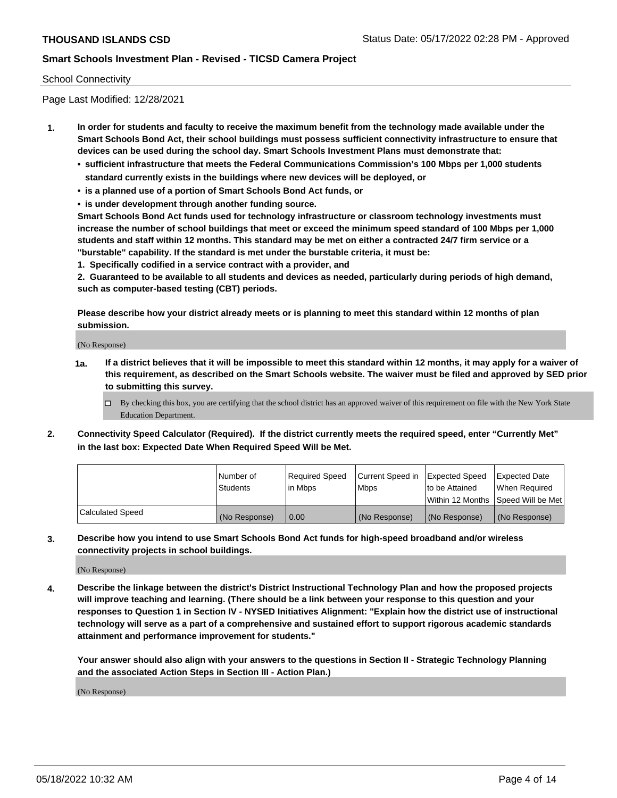#### School Connectivity

Page Last Modified: 12/28/2021

- **1. In order for students and faculty to receive the maximum benefit from the technology made available under the Smart Schools Bond Act, their school buildings must possess sufficient connectivity infrastructure to ensure that devices can be used during the school day. Smart Schools Investment Plans must demonstrate that:**
	- **• sufficient infrastructure that meets the Federal Communications Commission's 100 Mbps per 1,000 students standard currently exists in the buildings where new devices will be deployed, or**
	- **• is a planned use of a portion of Smart Schools Bond Act funds, or**
	- **• is under development through another funding source.**

**Smart Schools Bond Act funds used for technology infrastructure or classroom technology investments must increase the number of school buildings that meet or exceed the minimum speed standard of 100 Mbps per 1,000 students and staff within 12 months. This standard may be met on either a contracted 24/7 firm service or a "burstable" capability. If the standard is met under the burstable criteria, it must be:**

**1. Specifically codified in a service contract with a provider, and**

**2. Guaranteed to be available to all students and devices as needed, particularly during periods of high demand, such as computer-based testing (CBT) periods.**

**Please describe how your district already meets or is planning to meet this standard within 12 months of plan submission.**

(No Response)

- **1a. If a district believes that it will be impossible to meet this standard within 12 months, it may apply for a waiver of this requirement, as described on the Smart Schools website. The waiver must be filed and approved by SED prior to submitting this survey.**
	- By checking this box, you are certifying that the school district has an approved waiver of this requirement on file with the New York State Education Department.
- **2. Connectivity Speed Calculator (Required). If the district currently meets the required speed, enter "Currently Met" in the last box: Expected Date When Required Speed Will be Met.**

|                         | l Number of<br><b>Students</b> | Required Speed<br>l in Mbps | Current Speed in<br><b>Mbps</b> | <b>Expected Speed</b><br>to be Attained | Expected Date<br>When Reauired |
|-------------------------|--------------------------------|-----------------------------|---------------------------------|-----------------------------------------|--------------------------------|
|                         |                                |                             |                                 | Within 12 Months 1Speed Will be Met     |                                |
| <b>Calculated Speed</b> | (No Response)                  | 0.00                        | (No Response)                   | (No Response)                           | (No Response)                  |

**3. Describe how you intend to use Smart Schools Bond Act funds for high-speed broadband and/or wireless connectivity projects in school buildings.**

(No Response)

**4. Describe the linkage between the district's District Instructional Technology Plan and how the proposed projects will improve teaching and learning. (There should be a link between your response to this question and your responses to Question 1 in Section IV - NYSED Initiatives Alignment: "Explain how the district use of instructional technology will serve as a part of a comprehensive and sustained effort to support rigorous academic standards attainment and performance improvement for students."** 

**Your answer should also align with your answers to the questions in Section II - Strategic Technology Planning and the associated Action Steps in Section III - Action Plan.)**

(No Response)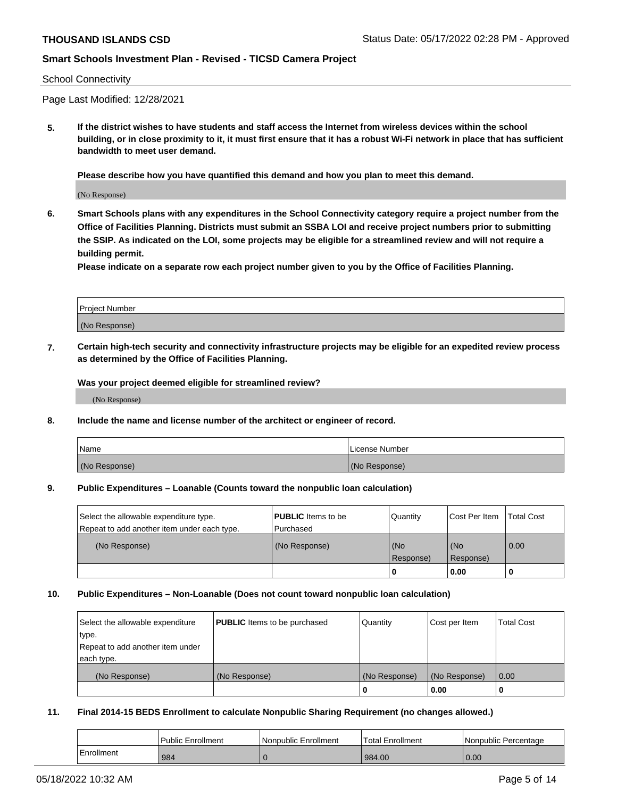#### School Connectivity

Page Last Modified: 12/28/2021

**5. If the district wishes to have students and staff access the Internet from wireless devices within the school building, or in close proximity to it, it must first ensure that it has a robust Wi-Fi network in place that has sufficient bandwidth to meet user demand.**

**Please describe how you have quantified this demand and how you plan to meet this demand.**

(No Response)

**6. Smart Schools plans with any expenditures in the School Connectivity category require a project number from the Office of Facilities Planning. Districts must submit an SSBA LOI and receive project numbers prior to submitting the SSIP. As indicated on the LOI, some projects may be eligible for a streamlined review and will not require a building permit.**

**Please indicate on a separate row each project number given to you by the Office of Facilities Planning.**

| Project Number |  |
|----------------|--|
| (No Response)  |  |

**7. Certain high-tech security and connectivity infrastructure projects may be eligible for an expedited review process as determined by the Office of Facilities Planning.**

**Was your project deemed eligible for streamlined review?**

(No Response)

#### **8. Include the name and license number of the architect or engineer of record.**

| Name          | I License Number |
|---------------|------------------|
| (No Response) | (No Response)    |

#### **9. Public Expenditures – Loanable (Counts toward the nonpublic loan calculation)**

| Select the allowable expenditure type.<br>Repeat to add another item under each type. | <b>PUBLIC</b> Items to be<br>l Purchased | Quantity         | Cost Per Item    | <b>Total Cost</b> |
|---------------------------------------------------------------------------------------|------------------------------------------|------------------|------------------|-------------------|
| (No Response)                                                                         | (No Response)                            | (No<br>Response) | (No<br>Response) | 0.00              |
|                                                                                       |                                          | -0               | 0.00             |                   |

## **10. Public Expenditures – Non-Loanable (Does not count toward nonpublic loan calculation)**

| Select the allowable expenditure | <b>PUBLIC</b> Items to be purchased | Quantity      | Cost per Item | <b>Total Cost</b> |
|----------------------------------|-------------------------------------|---------------|---------------|-------------------|
| type.                            |                                     |               |               |                   |
| Repeat to add another item under |                                     |               |               |                   |
| each type.                       |                                     |               |               |                   |
| (No Response)                    | (No Response)                       | (No Response) | (No Response) | 0.00              |
|                                  |                                     | U             | 0.00          |                   |

#### **11. Final 2014-15 BEDS Enrollment to calculate Nonpublic Sharing Requirement (no changes allowed.)**

|            | <b>Public Enrollment</b> | Nonpublic Enrollment | Total Enrollment | Nonpublic Percentage |
|------------|--------------------------|----------------------|------------------|----------------------|
| Enrollment | 984                      |                      | 984.00           | 0.00                 |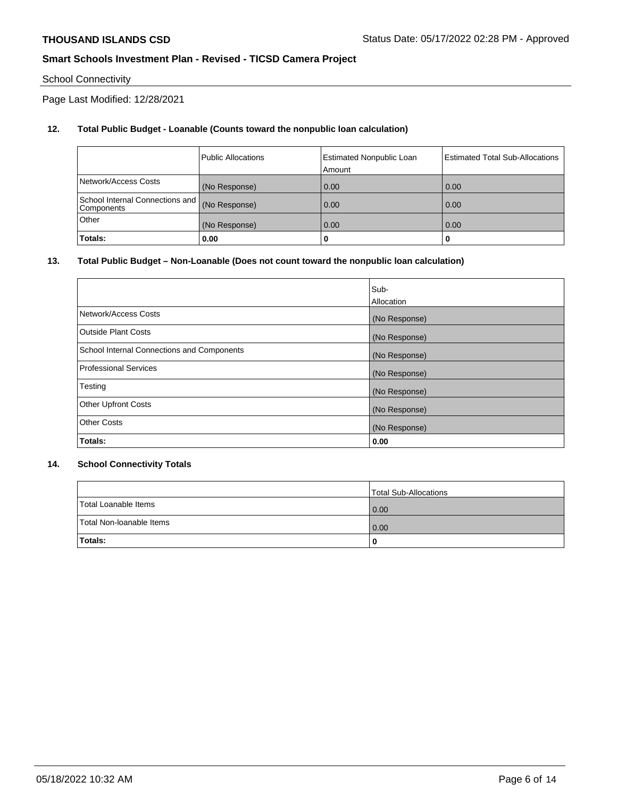# School Connectivity

Page Last Modified: 12/28/2021

## **12. Total Public Budget - Loanable (Counts toward the nonpublic loan calculation)**

|                                               | <b>Public Allocations</b> | <b>Estimated Nonpublic Loan</b><br>Amount | Estimated Total Sub-Allocations |
|-----------------------------------------------|---------------------------|-------------------------------------------|---------------------------------|
| Network/Access Costs                          | (No Response)             | 0.00                                      | 0.00                            |
| School Internal Connections and<br>Components | (No Response)             | 0.00                                      | 0.00                            |
| Other                                         | (No Response)             | 0.00                                      | 0.00                            |
| Totals:                                       | 0.00                      |                                           | 0                               |

## **13. Total Public Budget – Non-Loanable (Does not count toward the nonpublic loan calculation)**

|                                            | Sub-          |
|--------------------------------------------|---------------|
|                                            | Allocation    |
| Network/Access Costs                       | (No Response) |
| <b>Outside Plant Costs</b>                 | (No Response) |
| School Internal Connections and Components | (No Response) |
| <b>Professional Services</b>               | (No Response) |
| Testing                                    | (No Response) |
| <b>Other Upfront Costs</b>                 | (No Response) |
| <b>Other Costs</b>                         | (No Response) |
| Totals:                                    | 0.00          |

## **14. School Connectivity Totals**

|                          | Total Sub-Allocations |
|--------------------------|-----------------------|
| Total Loanable Items     | 0.00                  |
| Total Non-Ioanable Items | 0.00                  |
| Totals:                  | 0                     |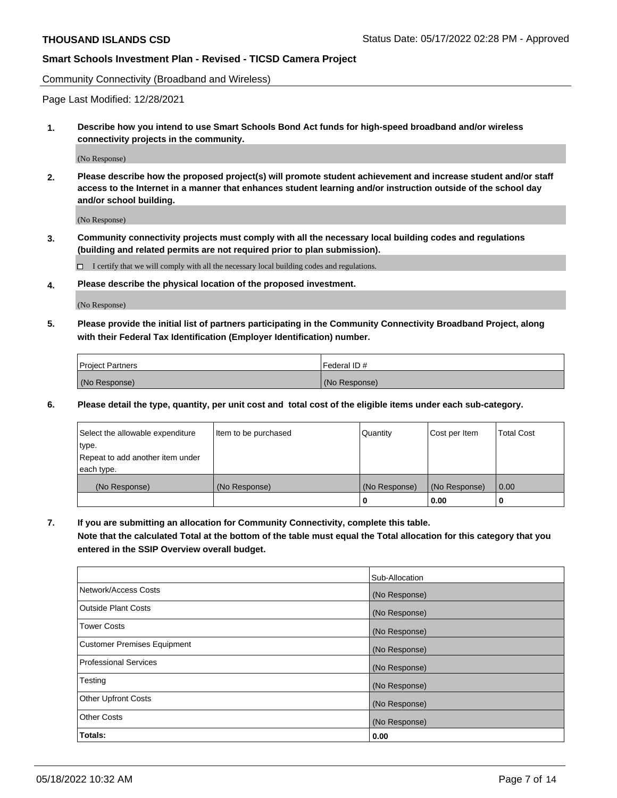Community Connectivity (Broadband and Wireless)

Page Last Modified: 12/28/2021

**1. Describe how you intend to use Smart Schools Bond Act funds for high-speed broadband and/or wireless connectivity projects in the community.**

(No Response)

**2. Please describe how the proposed project(s) will promote student achievement and increase student and/or staff access to the Internet in a manner that enhances student learning and/or instruction outside of the school day and/or school building.**

(No Response)

**3. Community connectivity projects must comply with all the necessary local building codes and regulations (building and related permits are not required prior to plan submission).**

 $\Box$  I certify that we will comply with all the necessary local building codes and regulations.

**4. Please describe the physical location of the proposed investment.**

(No Response)

**5. Please provide the initial list of partners participating in the Community Connectivity Broadband Project, along with their Federal Tax Identification (Employer Identification) number.**

| <b>Project Partners</b> | 'Federal ID # |
|-------------------------|---------------|
| (No Response)           | (No Response) |

**6. Please detail the type, quantity, per unit cost and total cost of the eligible items under each sub-category.**

| Select the allowable expenditure | Item to be purchased | Quantity      | Cost per Item | <b>Total Cost</b> |
|----------------------------------|----------------------|---------------|---------------|-------------------|
| type.                            |                      |               |               |                   |
| Repeat to add another item under |                      |               |               |                   |
| each type.                       |                      |               |               |                   |
| (No Response)                    | (No Response)        | (No Response) | (No Response) | 0.00              |
|                                  |                      | 0             | 0.00          |                   |

**7. If you are submitting an allocation for Community Connectivity, complete this table.**

**Note that the calculated Total at the bottom of the table must equal the Total allocation for this category that you entered in the SSIP Overview overall budget.**

|                                    | Sub-Allocation |
|------------------------------------|----------------|
| Network/Access Costs               | (No Response)  |
| Outside Plant Costs                | (No Response)  |
| <b>Tower Costs</b>                 | (No Response)  |
| <b>Customer Premises Equipment</b> | (No Response)  |
| Professional Services              | (No Response)  |
| Testing                            | (No Response)  |
| <b>Other Upfront Costs</b>         | (No Response)  |
| <b>Other Costs</b>                 | (No Response)  |
| Totals:                            | 0.00           |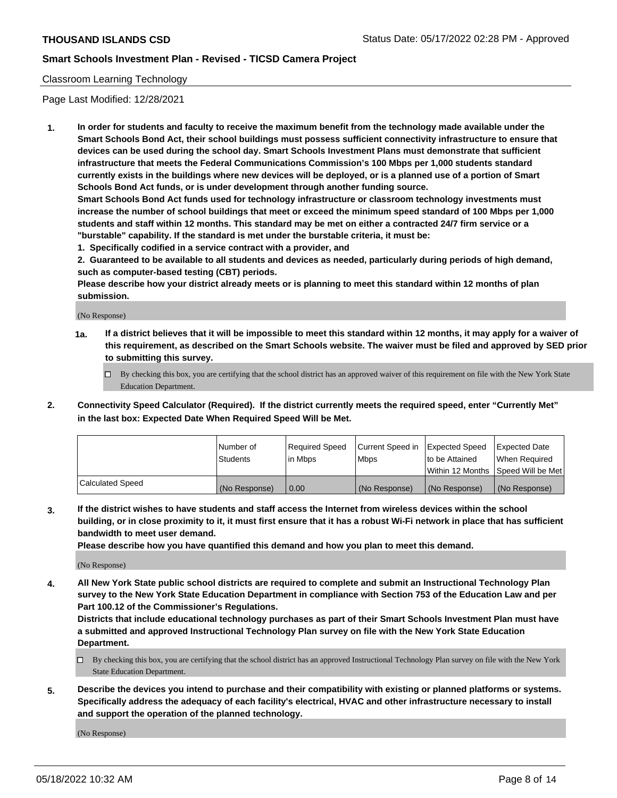## Classroom Learning Technology

Page Last Modified: 12/28/2021

**1. In order for students and faculty to receive the maximum benefit from the technology made available under the Smart Schools Bond Act, their school buildings must possess sufficient connectivity infrastructure to ensure that devices can be used during the school day. Smart Schools Investment Plans must demonstrate that sufficient infrastructure that meets the Federal Communications Commission's 100 Mbps per 1,000 students standard currently exists in the buildings where new devices will be deployed, or is a planned use of a portion of Smart Schools Bond Act funds, or is under development through another funding source.**

**Smart Schools Bond Act funds used for technology infrastructure or classroom technology investments must increase the number of school buildings that meet or exceed the minimum speed standard of 100 Mbps per 1,000 students and staff within 12 months. This standard may be met on either a contracted 24/7 firm service or a "burstable" capability. If the standard is met under the burstable criteria, it must be:**

**1. Specifically codified in a service contract with a provider, and**

**2. Guaranteed to be available to all students and devices as needed, particularly during periods of high demand, such as computer-based testing (CBT) periods.**

**Please describe how your district already meets or is planning to meet this standard within 12 months of plan submission.**

(No Response)

- **1a. If a district believes that it will be impossible to meet this standard within 12 months, it may apply for a waiver of this requirement, as described on the Smart Schools website. The waiver must be filed and approved by SED prior to submitting this survey.**
	- By checking this box, you are certifying that the school district has an approved waiver of this requirement on file with the New York State Education Department.
- **2. Connectivity Speed Calculator (Required). If the district currently meets the required speed, enter "Currently Met" in the last box: Expected Date When Required Speed Will be Met.**

|                  | Number of     | Required Speed | Current Speed in | Expected Speed | Expected Date                           |
|------------------|---------------|----------------|------------------|----------------|-----------------------------------------|
|                  | Students      | lin Mbps       | <b>Mbps</b>      | to be Attained | When Required                           |
|                  |               |                |                  |                | l Within 12 Months ISpeed Will be Met l |
| Calculated Speed | (No Response) | 0.00           | (No Response)    | (No Response)  | (No Response)                           |

**3. If the district wishes to have students and staff access the Internet from wireless devices within the school building, or in close proximity to it, it must first ensure that it has a robust Wi-Fi network in place that has sufficient bandwidth to meet user demand.**

**Please describe how you have quantified this demand and how you plan to meet this demand.**

(No Response)

**4. All New York State public school districts are required to complete and submit an Instructional Technology Plan survey to the New York State Education Department in compliance with Section 753 of the Education Law and per Part 100.12 of the Commissioner's Regulations.**

**Districts that include educational technology purchases as part of their Smart Schools Investment Plan must have a submitted and approved Instructional Technology Plan survey on file with the New York State Education Department.**

- By checking this box, you are certifying that the school district has an approved Instructional Technology Plan survey on file with the New York State Education Department.
- **5. Describe the devices you intend to purchase and their compatibility with existing or planned platforms or systems. Specifically address the adequacy of each facility's electrical, HVAC and other infrastructure necessary to install and support the operation of the planned technology.**

(No Response)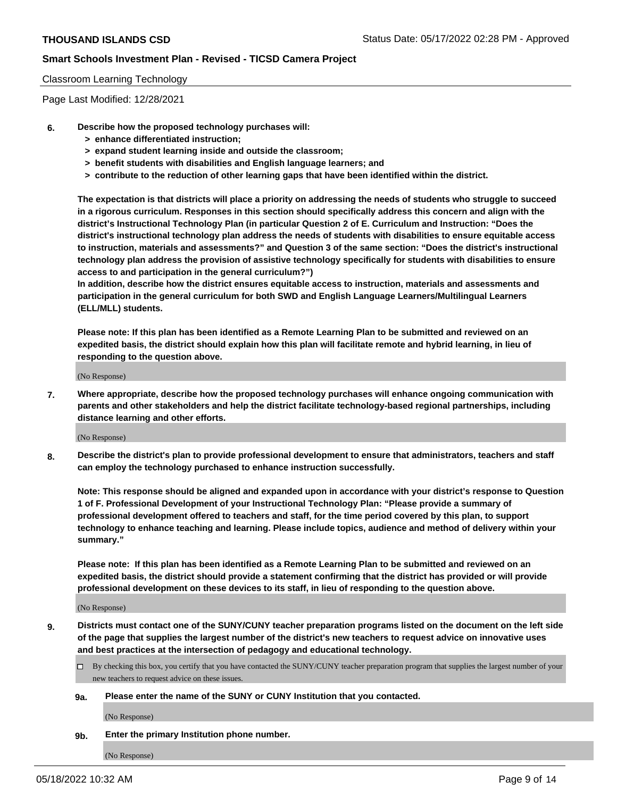#### Classroom Learning Technology

Page Last Modified: 12/28/2021

- **6. Describe how the proposed technology purchases will:**
	- **> enhance differentiated instruction;**
	- **> expand student learning inside and outside the classroom;**
	- **> benefit students with disabilities and English language learners; and**
	- **> contribute to the reduction of other learning gaps that have been identified within the district.**

**The expectation is that districts will place a priority on addressing the needs of students who struggle to succeed in a rigorous curriculum. Responses in this section should specifically address this concern and align with the district's Instructional Technology Plan (in particular Question 2 of E. Curriculum and Instruction: "Does the district's instructional technology plan address the needs of students with disabilities to ensure equitable access to instruction, materials and assessments?" and Question 3 of the same section: "Does the district's instructional technology plan address the provision of assistive technology specifically for students with disabilities to ensure access to and participation in the general curriculum?")**

**In addition, describe how the district ensures equitable access to instruction, materials and assessments and participation in the general curriculum for both SWD and English Language Learners/Multilingual Learners (ELL/MLL) students.**

**Please note: If this plan has been identified as a Remote Learning Plan to be submitted and reviewed on an expedited basis, the district should explain how this plan will facilitate remote and hybrid learning, in lieu of responding to the question above.**

(No Response)

**7. Where appropriate, describe how the proposed technology purchases will enhance ongoing communication with parents and other stakeholders and help the district facilitate technology-based regional partnerships, including distance learning and other efforts.**

(No Response)

**8. Describe the district's plan to provide professional development to ensure that administrators, teachers and staff can employ the technology purchased to enhance instruction successfully.**

**Note: This response should be aligned and expanded upon in accordance with your district's response to Question 1 of F. Professional Development of your Instructional Technology Plan: "Please provide a summary of professional development offered to teachers and staff, for the time period covered by this plan, to support technology to enhance teaching and learning. Please include topics, audience and method of delivery within your summary."**

**Please note: If this plan has been identified as a Remote Learning Plan to be submitted and reviewed on an expedited basis, the district should provide a statement confirming that the district has provided or will provide professional development on these devices to its staff, in lieu of responding to the question above.**

(No Response)

**9. Districts must contact one of the SUNY/CUNY teacher preparation programs listed on the document on the left side of the page that supplies the largest number of the district's new teachers to request advice on innovative uses and best practices at the intersection of pedagogy and educational technology.**

- By checking this box, you certify that you have contacted the SUNY/CUNY teacher preparation program that supplies the largest number of your new teachers to request advice on these issues.
- **9a. Please enter the name of the SUNY or CUNY Institution that you contacted.**

(No Response)

**9b. Enter the primary Institution phone number.**

(No Response)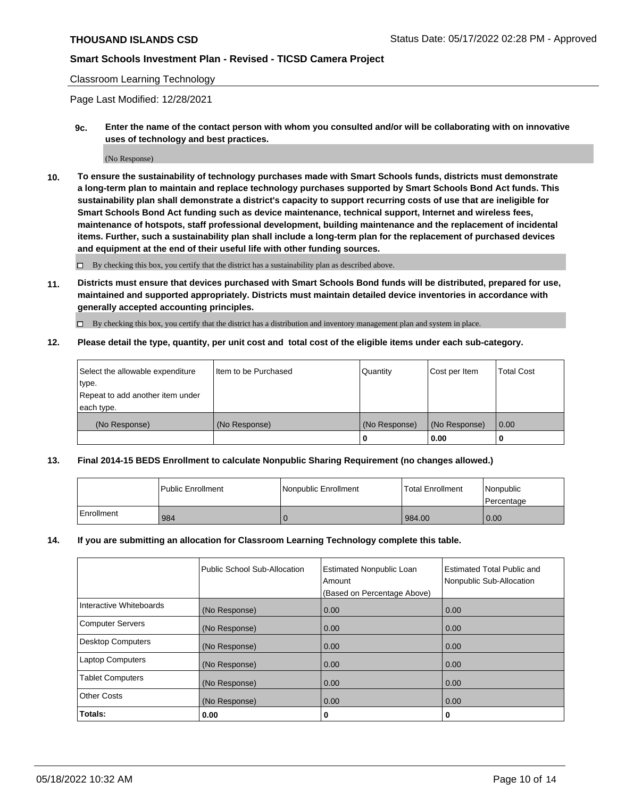## Classroom Learning Technology

Page Last Modified: 12/28/2021

**9c. Enter the name of the contact person with whom you consulted and/or will be collaborating with on innovative uses of technology and best practices.**

(No Response)

**10. To ensure the sustainability of technology purchases made with Smart Schools funds, districts must demonstrate a long-term plan to maintain and replace technology purchases supported by Smart Schools Bond Act funds. This sustainability plan shall demonstrate a district's capacity to support recurring costs of use that are ineligible for Smart Schools Bond Act funding such as device maintenance, technical support, Internet and wireless fees, maintenance of hotspots, staff professional development, building maintenance and the replacement of incidental items. Further, such a sustainability plan shall include a long-term plan for the replacement of purchased devices and equipment at the end of their useful life with other funding sources.**

 $\square$  By checking this box, you certify that the district has a sustainability plan as described above.

**11. Districts must ensure that devices purchased with Smart Schools Bond funds will be distributed, prepared for use, maintained and supported appropriately. Districts must maintain detailed device inventories in accordance with generally accepted accounting principles.**

By checking this box, you certify that the district has a distribution and inventory management plan and system in place.

**12. Please detail the type, quantity, per unit cost and total cost of the eligible items under each sub-category.**

| Select the allowable expenditure<br>type.      | I Item to be Purchased | Quantity      | Cost per Item | <b>Total Cost</b> |
|------------------------------------------------|------------------------|---------------|---------------|-------------------|
| Repeat to add another item under<br>each type. |                        |               |               |                   |
| (No Response)                                  | (No Response)          | (No Response) | (No Response) | 0.00              |
|                                                |                        | U             | 0.00          |                   |

## **13. Final 2014-15 BEDS Enrollment to calculate Nonpublic Sharing Requirement (no changes allowed.)**

|            | l Public Enrollment | Nonpublic Enrollment | <b>Total Enrollment</b> | Nonpublic<br>l Percentage |
|------------|---------------------|----------------------|-------------------------|---------------------------|
| Enrollment | 984                 |                      | 984.00                  | 0.00                      |

#### **14. If you are submitting an allocation for Classroom Learning Technology complete this table.**

|                          | Public School Sub-Allocation | <b>Estimated Nonpublic Loan</b><br>Amount | <b>Estimated Total Public and</b><br>Nonpublic Sub-Allocation |
|--------------------------|------------------------------|-------------------------------------------|---------------------------------------------------------------|
|                          |                              | (Based on Percentage Above)               |                                                               |
| Interactive Whiteboards  | (No Response)                | 0.00                                      | 0.00                                                          |
| <b>Computer Servers</b>  | (No Response)                | 0.00                                      | 0.00                                                          |
| <b>Desktop Computers</b> | (No Response)                | 0.00                                      | 0.00                                                          |
| <b>Laptop Computers</b>  | (No Response)                | 0.00                                      | 0.00                                                          |
| <b>Tablet Computers</b>  | (No Response)                | 0.00                                      | 0.00                                                          |
| <b>Other Costs</b>       | (No Response)                | 0.00                                      | 0.00                                                          |
| Totals:                  | 0.00                         | 0                                         | 0                                                             |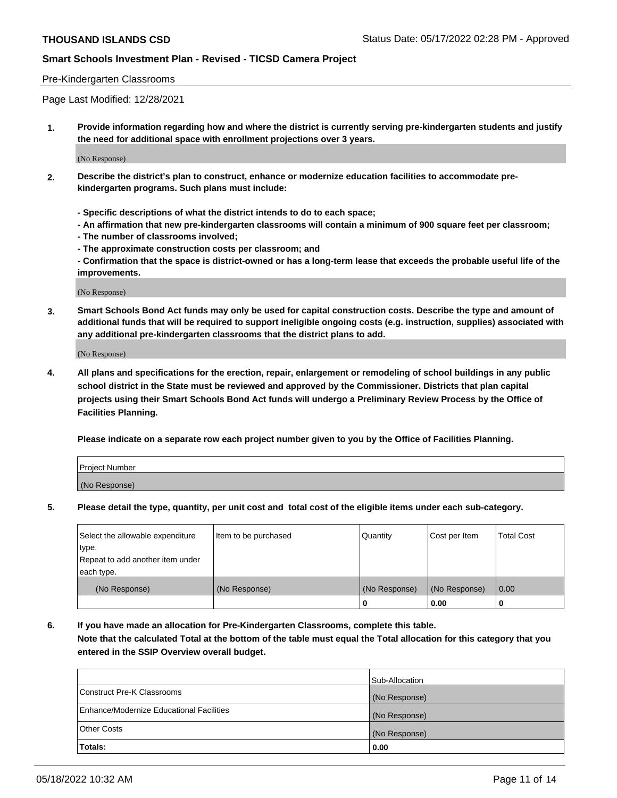#### Pre-Kindergarten Classrooms

Page Last Modified: 12/28/2021

**1. Provide information regarding how and where the district is currently serving pre-kindergarten students and justify the need for additional space with enrollment projections over 3 years.**

(No Response)

- **2. Describe the district's plan to construct, enhance or modernize education facilities to accommodate prekindergarten programs. Such plans must include:**
	- **Specific descriptions of what the district intends to do to each space;**
	- **An affirmation that new pre-kindergarten classrooms will contain a minimum of 900 square feet per classroom;**
	- **The number of classrooms involved;**
	- **The approximate construction costs per classroom; and**
	- **Confirmation that the space is district-owned or has a long-term lease that exceeds the probable useful life of the improvements.**

(No Response)

**3. Smart Schools Bond Act funds may only be used for capital construction costs. Describe the type and amount of additional funds that will be required to support ineligible ongoing costs (e.g. instruction, supplies) associated with any additional pre-kindergarten classrooms that the district plans to add.**

(No Response)

**4. All plans and specifications for the erection, repair, enlargement or remodeling of school buildings in any public school district in the State must be reviewed and approved by the Commissioner. Districts that plan capital projects using their Smart Schools Bond Act funds will undergo a Preliminary Review Process by the Office of Facilities Planning.**

**Please indicate on a separate row each project number given to you by the Office of Facilities Planning.**

| Project Number |  |
|----------------|--|
| (No Response)  |  |

**5. Please detail the type, quantity, per unit cost and total cost of the eligible items under each sub-category.**

| Select the allowable expenditure | Item to be purchased | Quantity      | Cost per Item | <b>Total Cost</b> |
|----------------------------------|----------------------|---------------|---------------|-------------------|
| type.                            |                      |               |               |                   |
| Repeat to add another item under |                      |               |               |                   |
| each type.                       |                      |               |               |                   |
| (No Response)                    | (No Response)        | (No Response) | (No Response) | 0.00              |
|                                  |                      | 0             | 0.00          |                   |

**6. If you have made an allocation for Pre-Kindergarten Classrooms, complete this table.**

**Note that the calculated Total at the bottom of the table must equal the Total allocation for this category that you entered in the SSIP Overview overall budget.**

|                                          | Sub-Allocation |
|------------------------------------------|----------------|
| Construct Pre-K Classrooms               | (No Response)  |
| Enhance/Modernize Educational Facilities | (No Response)  |
| <b>Other Costs</b>                       | (No Response)  |
| Totals:                                  | 0.00           |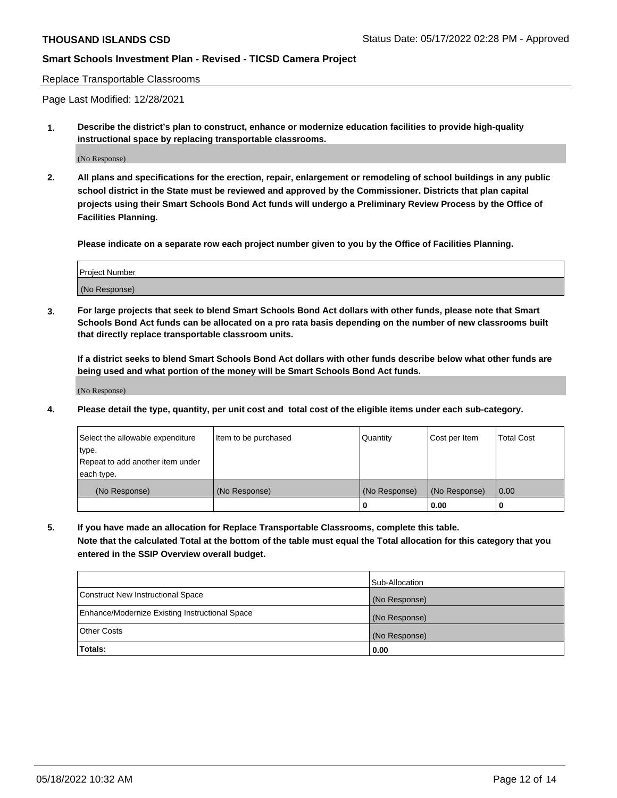Replace Transportable Classrooms

Page Last Modified: 12/28/2021

**1. Describe the district's plan to construct, enhance or modernize education facilities to provide high-quality instructional space by replacing transportable classrooms.**

(No Response)

**2. All plans and specifications for the erection, repair, enlargement or remodeling of school buildings in any public school district in the State must be reviewed and approved by the Commissioner. Districts that plan capital projects using their Smart Schools Bond Act funds will undergo a Preliminary Review Process by the Office of Facilities Planning.**

**Please indicate on a separate row each project number given to you by the Office of Facilities Planning.**

| <b>Project Number</b> |  |
|-----------------------|--|
| (No Response)         |  |

**3. For large projects that seek to blend Smart Schools Bond Act dollars with other funds, please note that Smart Schools Bond Act funds can be allocated on a pro rata basis depending on the number of new classrooms built that directly replace transportable classroom units.**

**If a district seeks to blend Smart Schools Bond Act dollars with other funds describe below what other funds are being used and what portion of the money will be Smart Schools Bond Act funds.**

(No Response)

**4. Please detail the type, quantity, per unit cost and total cost of the eligible items under each sub-category.**

| Select the allowable expenditure<br>type.<br>Repeat to add another item under | Item to be purchased | Quantity      | Cost per Item | <b>Total Cost</b> |
|-------------------------------------------------------------------------------|----------------------|---------------|---------------|-------------------|
| each type.<br>(No Response)                                                   | (No Response)        | (No Response) | (No Response) | 0.00              |
|                                                                               |                      | 0             | 0.00          |                   |

**5. If you have made an allocation for Replace Transportable Classrooms, complete this table.**

**Note that the calculated Total at the bottom of the table must equal the Total allocation for this category that you entered in the SSIP Overview overall budget.**

| Enhance/Modernize Existing Instructional Space<br><b>Other Costs</b> | (No Response)         |
|----------------------------------------------------------------------|-----------------------|
| <b>Totals:</b>                                                       | (No Response)<br>0.00 |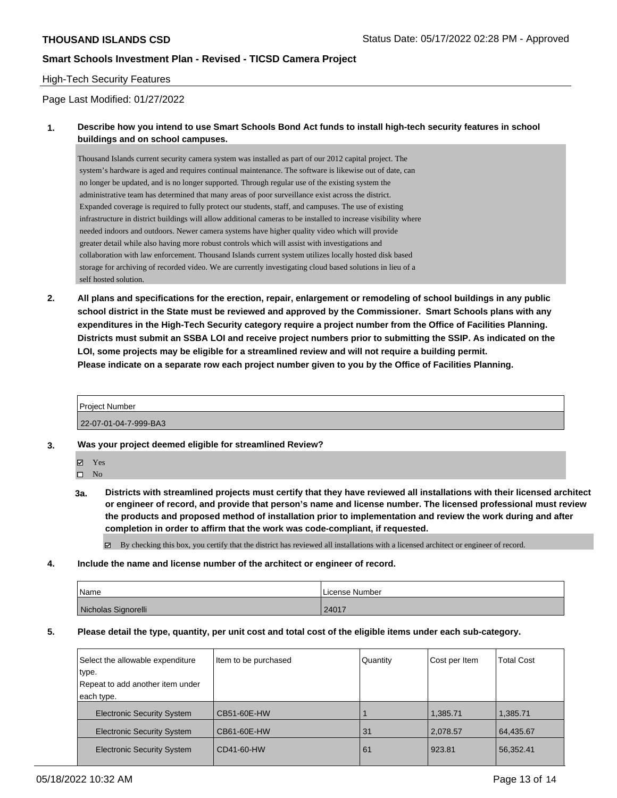## High-Tech Security Features

Page Last Modified: 01/27/2022

## **1. Describe how you intend to use Smart Schools Bond Act funds to install high-tech security features in school buildings and on school campuses.**

Thousand Islands current security camera system was installed as part of our 2012 capital project. The system's hardware is aged and requires continual maintenance. The software is likewise out of date, can no longer be updated, and is no longer supported. Through regular use of the existing system the administrative team has determined that many areas of poor surveillance exist across the district. Expanded coverage is required to fully protect our students, staff, and campuses. The use of existing infrastructure in district buildings will allow additional cameras to be installed to increase visibility where needed indoors and outdoors. Newer camera systems have higher quality video which will provide greater detail while also having more robust controls which will assist with investigations and collaboration with law enforcement. Thousand Islands current system utilizes locally hosted disk based storage for archiving of recorded video. We are currently investigating cloud based solutions in lieu of a self hosted solution.

**2. All plans and specifications for the erection, repair, enlargement or remodeling of school buildings in any public school district in the State must be reviewed and approved by the Commissioner. Smart Schools plans with any expenditures in the High-Tech Security category require a project number from the Office of Facilities Planning. Districts must submit an SSBA LOI and receive project numbers prior to submitting the SSIP. As indicated on the LOI, some projects may be eligible for a streamlined review and will not require a building permit. Please indicate on a separate row each project number given to you by the Office of Facilities Planning.**

# Project Number

22-07-01-04-7-999-BA3

- **3. Was your project deemed eligible for streamlined Review?**
	- Yes

 $\square$  No

- **3a. Districts with streamlined projects must certify that they have reviewed all installations with their licensed architect or engineer of record, and provide that person's name and license number. The licensed professional must review the products and proposed method of installation prior to implementation and review the work during and after completion in order to affirm that the work was code-compliant, if requested.**
	- $\boxtimes$  By checking this box, you certify that the district has reviewed all installations with a licensed architect or engineer of record.
- **4. Include the name and license number of the architect or engineer of record.**

| Name                | License Number |
|---------------------|----------------|
| Nicholas Signorelli | 24017          |

**5. Please detail the type, quantity, per unit cost and total cost of the eligible items under each sub-category.**

| Select the allowable expenditure<br>type.<br>Repeat to add another item under<br>each type. | Item to be purchased | Quantity | Cost per Item | <b>Total Cost</b> |
|---------------------------------------------------------------------------------------------|----------------------|----------|---------------|-------------------|
| <b>Electronic Security System</b>                                                           | CB51-60E-HW          |          | 1,385.71      | 1,385.71          |
| <b>Electronic Security System</b>                                                           | CB61-60E-HW          | 31       | 2,078.57      | 64,435.67         |
| <b>Electronic Security System</b>                                                           | CD41-60-HW           | 61       | 923.81        | 56,352.41         |